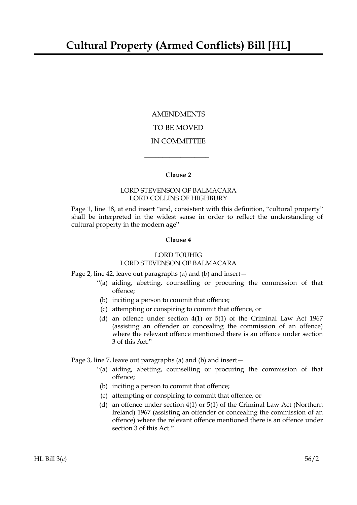AMENDMENTS TO BE MOVED IN COMMITTEE

## **Clause 2**

 $\overline{\phantom{a}}$  , where  $\overline{\phantom{a}}$ 

## LORD STEVENSON OF BALMACARA LORD COLLINS OF HIGHBURY

Page 1, line 18, at end insert "and, consistent with this definition, "cultural property" shall be interpreted in the widest sense in order to reflect the understanding of cultural property in the modern age"

## **Clause 4**

## LORD TOUHIG

# LORD STEVENSON OF BALMACARA

Page 2, line 42, leave out paragraphs (a) and (b) and insert—

- "(a) aiding, abetting, counselling or procuring the commission of that offence;
- (b) inciting a person to commit that offence;
- (c) attempting or conspiring to commit that offence, or
- (d) an offence under section 4(1) or 5(1) of the Criminal Law Act 1967 (assisting an offender or concealing the commission of an offence) where the relevant offence mentioned there is an offence under section 3 of this Act."

# Page 3, line 7, leave out paragraphs (a) and (b) and insert—

- "(a) aiding, abetting, counselling or procuring the commission of that offence;
- (b) inciting a person to commit that offence;
- (c) attempting or conspiring to commit that offence, or
- (d) an offence under section 4(1) or 5(1) of the Criminal Law Act (Northern Ireland) 1967 (assisting an offender or concealing the commission of an offence) where the relevant offence mentioned there is an offence under section 3 of this Act."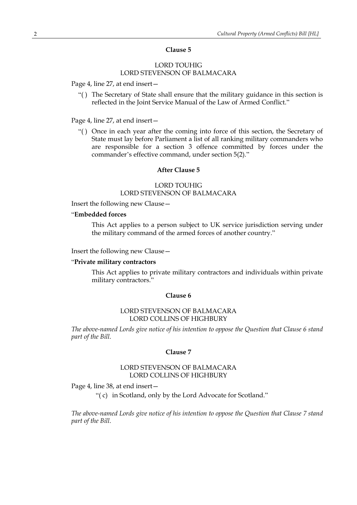### **Clause 5**

# LORD TOUHIG LORD STEVENSON OF BALMACARA

Page 4, line 27, at end insert—

"( ) The Secretary of State shall ensure that the military guidance in this section is reflected in the Joint Service Manual of the Law of Armed Conflict."

### Page 4, line 27, at end insert—

"( ) Once in each year after the coming into force of this section, the Secretary of State must lay before Parliament a list of all ranking military commanders who are responsible for a section 3 offence committed by forces under the commander's effective command, under section 5(2)."

### **After Clause 5**

## LORD TOUHIG LORD STEVENSON OF BALMACARA

Insert the following new Clause—

## "**Embedded forces**

This Act applies to a person subject to UK service jurisdiction serving under the military command of the armed forces of another country."

Insert the following new Clause—

### "**Private military contractors**

This Act applies to private military contractors and individuals within private military contractors."

### **Clause 6**

### LORD STEVENSON OF BALMACARA LORD COLLINS OF HIGHBURY

*The above-named Lords give notice of his intention to oppose the Question that Clause 6 stand part of the Bill.*

### **Clause 7**

## LORD STEVENSON OF BALMACARA LORD COLLINS OF HIGHBURY

Page 4, line 38, at end insert—

"( c) in Scotland, only by the Lord Advocate for Scotland."

*The above-named Lords give notice of his intention to oppose the Question that Clause 7 stand part of the Bill.*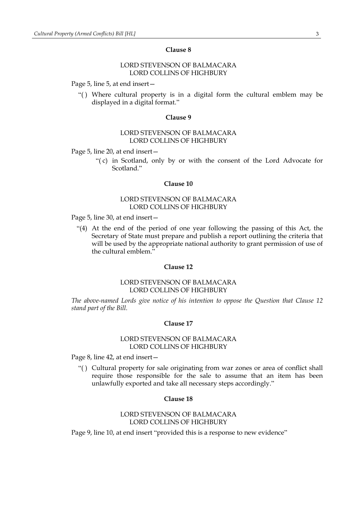### **Clause 8**

## LORD STEVENSON OF BALMACARA LORD COLLINS OF HIGHBURY

Page 5, line 5, at end insert—

"( ) Where cultural property is in a digital form the cultural emblem may be displayed in a digital format."

#### **Clause 9**

### LORD STEVENSON OF BALMACARA LORD COLLINS OF HIGHBURY

Page 5, line 20, at end insert—

"( c) in Scotland, only by or with the consent of the Lord Advocate for Scotland."

### **Clause 10**

## LORD STEVENSON OF BALMACARA LORD COLLINS OF HIGHBURY

Page 5, line 30, at end insert—

"(4) At the end of the period of one year following the passing of this Act, the Secretary of State must prepare and publish a report outlining the criteria that will be used by the appropriate national authority to grant permission of use of the cultural emblem."

### **Clause 12**

### LORD STEVENSON OF BALMACARA LORD COLLINS OF HIGHBURY

*The above-named Lords give notice of his intention to oppose the Question that Clause 12 stand part of the Bill.*

#### **Clause 17**

### LORD STEVENSON OF BALMACARA LORD COLLINS OF HIGHBURY

Page 8, line 42, at end insert—

"( ) Cultural property for sale originating from war zones or area of conflict shall require those responsible for the sale to assume that an item has been unlawfully exported and take all necessary steps accordingly."

### **Clause 18**

## LORD STEVENSON OF BALMACARA LORD COLLINS OF HIGHBURY

Page 9, line 10, at end insert "provided this is a response to new evidence"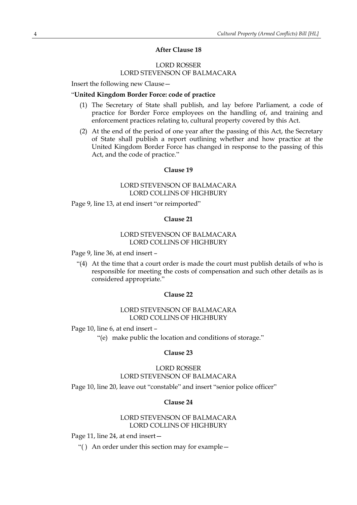## **After Clause 18**

## LORD ROSSER LORD STEVENSON OF BALMACARA

Insert the following new Clause—

### "**United Kingdom Border Force: code of practice**

- (1) The Secretary of State shall publish, and lay before Parliament, a code of practice for Border Force employees on the handling of, and training and enforcement practices relating to, cultural property covered by this Act.
- (2) At the end of the period of one year after the passing of this Act, the Secretary of State shall publish a report outlining whether and how practice at the United Kingdom Border Force has changed in response to the passing of this Act, and the code of practice."

### **Clause 19**

## LORD STEVENSON OF BALMACARA LORD COLLINS OF HIGHBURY

Page 9, line 13, at end insert "or reimported"

### **Clause 21**

## LORD STEVENSON OF BALMACARA LORD COLLINS OF HIGHBURY

Page 9, line 36, at end insert –

"(4) At the time that a court order is made the court must publish details of who is responsible for meeting the costs of compensation and such other details as is considered appropriate."

### **Clause 22**

## LORD STEVENSON OF BALMACARA LORD COLLINS OF HIGHBURY

Page 10, line 6, at end insert –

"(e) make public the location and conditions of storage."

#### **Clause 23**

## LORD ROSSER LORD STEVENSON OF BALMACARA

Page 10, line 20, leave out "constable" and insert "senior police officer"

#### **Clause 24**

## LORD STEVENSON OF BALMACARA LORD COLLINS OF HIGHBURY

Page 11, line 24, at end insert—

"( ) An order under this section may for example—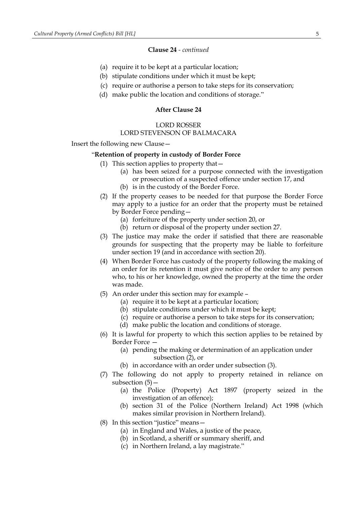### **Clause 24** *- continued*

- (a) require it to be kept at a particular location;
- (b) stipulate conditions under which it must be kept;
- (c) require or authorise a person to take steps for its conservation;
- (d) make public the location and conditions of storage."

## **After Clause 24**

## LORD ROSSER LORD STEVENSON OF BALMACARA

Insert the following new Clause—

### "**Retention of property in custody of Border Force**

- (1) This section applies to property that—
	- (a) has been seized for a purpose connected with the investigation or prosecution of a suspected offence under section 17, and
	- (b) is in the custody of the Border Force.
- (2) If the property ceases to be needed for that purpose the Border Force may apply to a justice for an order that the property must be retained by Border Force pending—
	- (a) forfeiture of the property under section 20, or
	- (b) return or disposal of the property under section 27.
- (3) The justice may make the order if satisfied that there are reasonable grounds for suspecting that the property may be liable to forfeiture under section 19 (and in accordance with section 20).
- (4) When Border Force has custody of the property following the making of an order for its retention it must give notice of the order to any person who, to his or her knowledge, owned the property at the time the order was made.
- (5) An order under this section may for example
	- (a) require it to be kept at a particular location;
	- (b) stipulate conditions under which it must be kept;
	- (c) require or authorise a person to take steps for its conservation;
	- (d) make public the location and conditions of storage.
- (6) It is lawful for property to which this section applies to be retained by Border Force —
	- (a) pending the making or determination of an application under subsection (2), or
	- (b) in accordance with an order under subsection (3).
- (7) The following do not apply to property retained in reliance on subsection (5)—
	- (a) the Police (Property) Act 1897 (property seized in the investigation of an offence);
	- (b) section 31 of the Police (Northern Ireland) Act 1998 (which makes similar provision in Northern Ireland).
- (8) In this section "justice" means—
	- (a) in England and Wales, a justice of the peace,
	- (b) in Scotland, a sheriff or summary sheriff, and
	- (c) in Northern Ireland, a lay magistrate."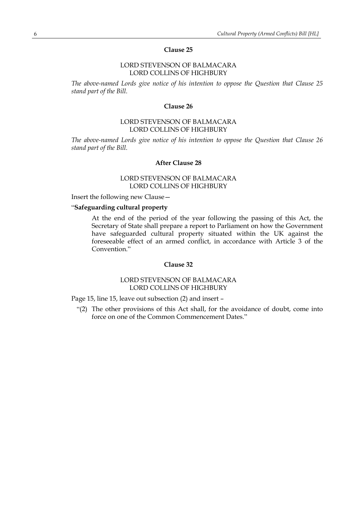## **Clause 25**

## LORD STEVENSON OF BALMACARA LORD COLLINS OF HIGHBURY

*The above-named Lords give notice of his intention to oppose the Question that Clause 25 stand part of the Bill.*

### **Clause 26**

## LORD STEVENSON OF BALMACARA LORD COLLINS OF HIGHBURY

*The above-named Lords give notice of his intention to oppose the Question that Clause 26 stand part of the Bill.*

## **After Clause 28**

### LORD STEVENSON OF BALMACARA LORD COLLINS OF HIGHBURY

Insert the following new Clause—

# "**Safeguarding cultural property**

At the end of the period of the year following the passing of this Act, the Secretary of State shall prepare a report to Parliament on how the Government have safeguarded cultural property situated within the UK against the foreseeable effect of an armed conflict, in accordance with Article 3 of the Convention."

### **Clause 32**

### LORD STEVENSON OF BALMACARA LORD COLLINS OF HIGHBURY

Page 15, line 15, leave out subsection (2) and insert –

"(2) The other provisions of this Act shall, for the avoidance of doubt, come into force on one of the Common Commencement Dates."